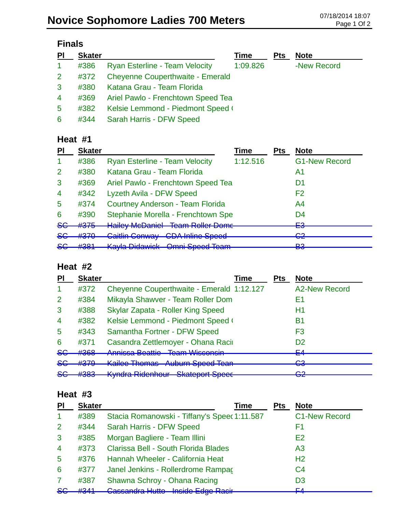## **Novice Sophomore Ladies 700 Meters** 07/18/2014 18:07

| ınaı |
|------|
|------|

| $\overline{P}$ | <b>Skater</b> |                                         | Time     | <b>Pts</b> | <b>Note</b> |
|----------------|---------------|-----------------------------------------|----------|------------|-------------|
| $\mathbf{1}$   | #386          | <b>Ryan Esterline - Team Velocity</b>   | 1:09.826 |            | -New Record |
| 2 <sup>1</sup> | #372          | <b>Cheyenne Couperthwaite - Emerald</b> |          |            |             |
| 3 <sup>°</sup> | #380          | Katana Grau - Team Florida              |          |            |             |
| $\overline{4}$ |               | #369 Ariel Pawlo - Frenchtown Speed Tea |          |            |             |
| 5              | #382          | Kelsie Lemmond - Piedmont Speed (       |          |            |             |
| 6              | #344          | Sarah Harris - DFW Speed                |          |            |             |

### **Heat #1**

| PI             | <b>Skater</b>     |                                                                           | <b>Time</b> | <b>Pts</b> | <b>Note</b>                               |
|----------------|-------------------|---------------------------------------------------------------------------|-------------|------------|-------------------------------------------|
| -1             | #386              | <b>Ryan Esterline - Team Velocity</b>                                     | 1:12.516    |            | <b>G1-New Record</b>                      |
| $\overline{2}$ | #380              | Katana Grau - Team Florida                                                |             |            | A1                                        |
| 3              | #369              | Ariel Pawlo - Frenchtown Speed Tea                                        |             |            | D1                                        |
| $\overline{4}$ | #342              | Lyzeth Avila - DFW Speed                                                  |             |            | F <sub>2</sub>                            |
| 5              | #374              | <b>Courtney Anderson - Team Florida</b>                                   |             |            | A <sub>4</sub>                            |
| 6              | #390              | Stephanie Morella - Frenchtown Spe                                        |             |            | D4                                        |
| <del>SG</del>  | #375              | <b>Hailey McDaniel - Team Roller Dome</b>                                 |             |            | cΩ<br>⊏⊽                                  |
| <del>SG</del>  | #370              | <b>Caitlin Conway CDA Inline Speed</b>                                    |             |            | ററ                                        |
| <del>SG</del>  | #201<br>$\pi$ oon | Kayle Didowick Ampi Spood Toom<br>nayia Diuawion<br><del>onan opood</del> |             |            | $\overline{\mathbf{z}}$<br><b>פס</b><br>o |

#### **Heat #2**

| PI             | <b>Skater</b>     | <b>Time</b>                                                                                     | <b>Pts</b> | <b>Note</b>                  |
|----------------|-------------------|-------------------------------------------------------------------------------------------------|------------|------------------------------|
|                | #372              | Cheyenne Couperthwaite - Emerald 1:12.127                                                       |            | <b>A2-New Record</b>         |
| 2              | #384              | Mikayla Shawver - Team Roller Dom                                                               |            | E1                           |
| 3              | #388              | Skylar Zapata - Roller King Speed                                                               |            | H1                           |
| $\overline{4}$ | #382              | Kelsie Lemmond - Piedmont Speed (                                                               |            | B1                           |
| 5              | #343              | Samantha Fortner - DFW Speed                                                                    |            | F3                           |
| 6              | #371              | Casandra Zettlemoyer - Ohana Racii                                                              |            | D <sub>2</sub>               |
| <del>SG</del>  | #368              | Annicco Roottio Toom Wicconsin<br><u>Allinood Dodulo</u>                                        |            | ᆮ<br>▅                       |
| 86             | #379              | Kailee Themse Auburn Speed Toop<br><del>nubum opoou rodif</del><br><b>INAIRUU THIUIHAO</b>      |            | ∼<br>$\overline{\mathbf{v}}$ |
| <del>SG</del>  | 4000<br>$\pi$ JUJ | Kindra Didophour Ckataport Chape<br><del>Unalupulit Upubli</del><br><del>nynuru niuomiour</del> |            | ⌒∩<br>ॼॾ                     |

#### **Heat #3**

| PI             | <b>Skater</b> | Time                                         | <b>Pts</b> | <b>Note</b>          |
|----------------|---------------|----------------------------------------------|------------|----------------------|
| -1             | #389          | Stacia Romanowski - Tiffany's Speec 1:11.587 |            | <b>C1-New Record</b> |
| $\overline{2}$ | #344          | Sarah Harris - DFW Speed                     |            | F1                   |
| 3              | #385          | Morgan Bagliere - Team Illini                |            | E <sub>2</sub>       |
| $\overline{4}$ | #373          | Clarissa Bell - South Florida Blades         |            | A <sub>3</sub>       |
| 5              | #376          | Hannah Wheeler - California Heat             |            | H <sub>2</sub>       |
| 6              | #377          | Janel Jenkins - Rollerdrome Rampac           |            | C <sub>4</sub>       |
| 7              | #387          | Shawna Schroy - Ohana Racing                 |            | D <sub>3</sub>       |
| <del>SC</del>  | $H2$ $A1$     | Cassandra Hutto - Inside Edge Racir          |            | EЛ                   |